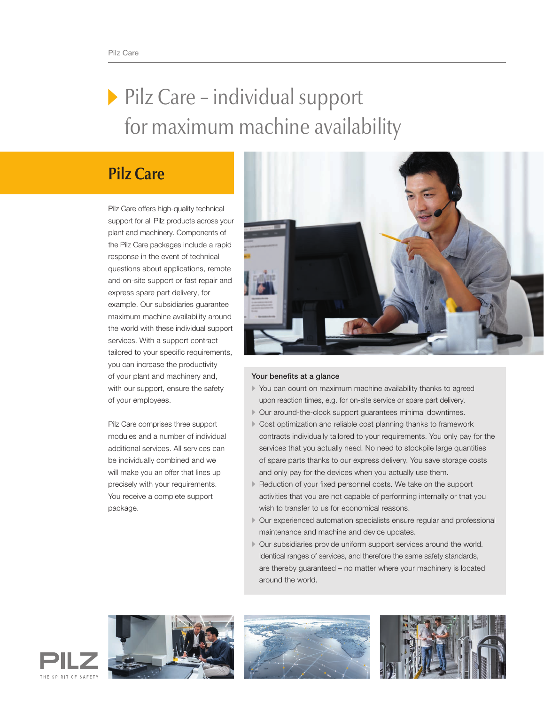# Pilz Care – individual support for maximum machine availability

# **Pilz Care**

Pilz Care offers high-quality technical support for all Pilz products across your plant and machinery. Components of the Pilz Care packages include a rapid response in the event of technical questions about applications, remote and on-site support or fast repair and express spare part delivery, for example. Our subsidiaries guarantee maximum machine availability around the world with these individual support services. With a support contract tailored to your specific requirements, you can increase the productivity of your plant and machinery and, with our support, ensure the safety of your employees.

Pilz Care comprises three support modules and a number of individual additional services. All services can be individually combined and we will make you an offer that lines up precisely with your requirements. You receive a complete support package.



# Your benefits at a glance

- You can count on maximum machine availability thanks to agreed upon reaction times, e.g. for on-site service or spare part delivery.
- Our around-the-clock support guarantees minimal downtimes.
- Cost optimization and reliable cost planning thanks to framework contracts individually tailored to your requirements. You only pay for the services that you actually need. No need to stockpile large quantities of spare parts thanks to our express delivery. You save storage costs and only pay for the devices when you actually use them.
- Reduction of your fixed personnel costs. We take on the support activities that you are not capable of performing internally or that you wish to transfer to us for economical reasons.
- Our experienced automation specialists ensure regular and professional maintenance and machine and device updates.
- Our subsidiaries provide uniform support services around the world. Identical ranges of services, and therefore the same safety standards, are thereby guaranteed – no matter where your machinery is located around the world.